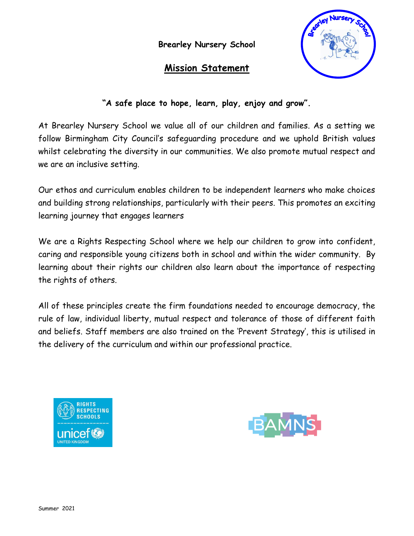**Brearley Nursery School** 

# **Mission Statement**



# **"A safe place to hope, learn, play, enjoy and grow".**

At Brearley Nursery School we value all of our children and families. As a setting we follow Birmingham City Council's safeguarding procedure and we uphold British values whilst celebrating the diversity in our communities. We also promote mutual respect and we are an inclusive setting.

Our ethos and curriculum enables children to be independent learners who make choices and building strong relationships, particularly with their peers. This promotes an exciting learning journey that engages learners

We are a Rights Respecting School where we help our children to grow into confident, caring and responsible young citizens both in school and within the wider community. By learning about their rights our children also learn about the importance of respecting the rights of others.

All of these principles create the firm foundations needed to encourage democracy, the rule of law, individual liberty, mutual respect and tolerance of those of different faith and beliefs. Staff members are also trained on the 'Prevent Strategy', this is utilised in the delivery of the curriculum and within our professional practice.



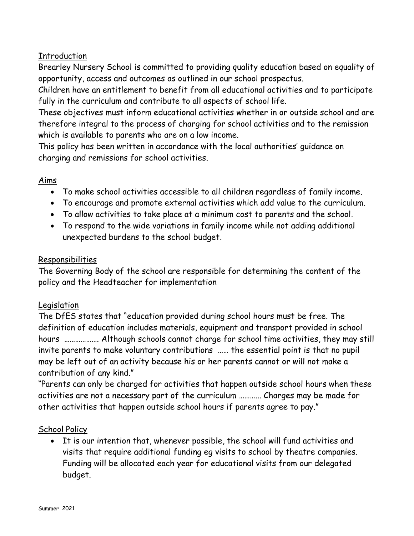# Introduction

Brearley Nursery School is committed to providing quality education based on equality of opportunity, access and outcomes as outlined in our school prospectus.

Children have an entitlement to benefit from all educational activities and to participate fully in the curriculum and contribute to all aspects of school life.

These objectives must inform educational activities whether in or outside school and are therefore integral to the process of charging for school activities and to the remission which is available to parents who are on a low income.

This policy has been written in accordance with the local authorities' guidance on charging and remissions for school activities.

# Aims

- To make school activities accessible to all children regardless of family income.
- To encourage and promote external activities which add value to the curriculum.
- To allow activities to take place at a minimum cost to parents and the school.
- To respond to the wide variations in family income while not adding additional unexpected burdens to the school budget.

#### Responsibilities

The Governing Body of the school are responsible for determining the content of the policy and the Headteacher for implementation

# Legislation

The DfES states that "education provided during school hours must be free. The definition of education includes materials, equipment and transport provided in school hours ………………. Although schools cannot charge for school time activities, they may still invite parents to make voluntary contributions …… the essential point is that no pupil may be left out of an activity because his or her parents cannot or will not make a contribution of any kind."

"Parents can only be charged for activities that happen outside school hours when these activities are not a necessary part of the curriculum ………... Charges may be made for other activities that happen outside school hours if parents agree to pay."

# School Policy

 It is our intention that, whenever possible, the school will fund activities and visits that require additional funding eg visits to school by theatre companies. Funding will be allocated each year for educational visits from our delegated budget.